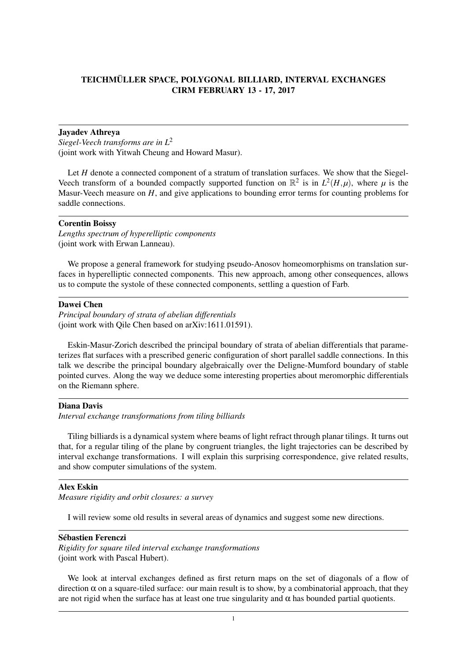# TEICHMÜLLER SPACE, POLYGONAL BILLIARD, INTERVAL EXCHANGES CIRM FEBRUARY 13 - 17, 2017

## Jayadev Athreya

*Siegel-Veech transforms are in L*<sup>2</sup> (joint work with Yitwah Cheung and Howard Masur).

Let *H* denote a connected component of a stratum of translation surfaces. We show that the Siegel-Veech transform of a bounded compactly supported function on  $\mathbb{R}^2$  is in  $L^2(H,\mu)$ , where  $\mu$  is the Masur-Veech measure on *H*, and give applications to bounding error terms for counting problems for saddle connections.

## Corentin Boissy

*Lengths spectrum of hyperelliptic components* (joint work with Erwan Lanneau).

We propose a general framework for studying pseudo-Anosov homeomorphisms on translation surfaces in hyperelliptic connected components. This new approach, among other consequences, allows us to compute the systole of these connected components, settling a question of Farb.

# Dawei Chen

*Principal boundary of strata of abelian differentials* (joint work with Qile Chen based on arXiv:1611.01591).

Eskin-Masur-Zorich described the principal boundary of strata of abelian differentials that parameterizes flat surfaces with a prescribed generic configuration of short parallel saddle connections. In this talk we describe the principal boundary algebraically over the Deligne-Mumford boundary of stable pointed curves. Along the way we deduce some interesting properties about meromorphic differentials on the Riemann sphere.

### Diana Davis

*Interval exchange transformations from tiling billiards*

Tiling billiards is a dynamical system where beams of light refract through planar tilings. It turns out that, for a regular tiling of the plane by congruent triangles, the light trajectories can be described by interval exchange transformations. I will explain this surprising correspondence, give related results, and show computer simulations of the system.

## Alex Eskin

*Measure rigidity and orbit closures: a survey*

I will review some old results in several areas of dynamics and suggest some new directions.

# Sébastien Ferenczi

*Rigidity for square tiled interval exchange transformations* (joint work with Pascal Hubert).

We look at interval exchanges defined as first return maps on the set of diagonals of a flow of direction  $\alpha$  on a square-tiled surface: our main result is to show, by a combinatorial approach, that they are not rigid when the surface has at least one true singularity and  $\alpha$  has bounded partial quotients.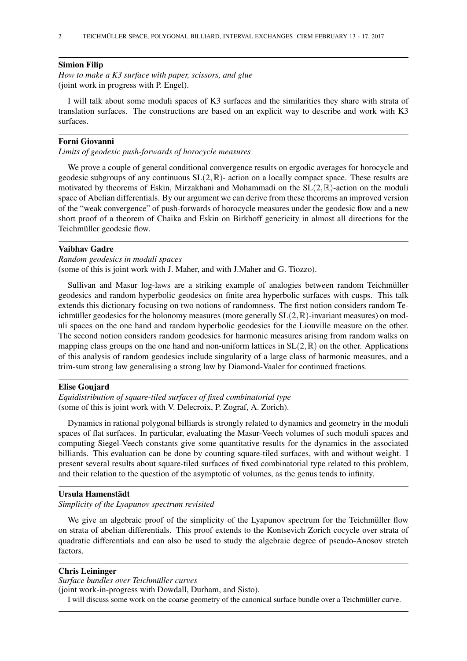### Simion Filip

*How to make a K3 surface with paper, scissors, and glue* (joint work in progress with P. Engel).

I will talk about some moduli spaces of K3 surfaces and the similarities they share with strata of translation surfaces. The constructions are based on an explicit way to describe and work with K3 surfaces.

# Forni Giovanni

*Limits of geodesic push-forwards of horocycle measures*

We prove a couple of general conditional convergence results on ergodic averages for horocycle and geodesic subgroups of any continuous  $SL(2,\mathbb{R})$ - action on a locally compact space. These results are motivated by theorems of Eskin, Mirzakhani and Mohammadi on the  $SL(2,\mathbb{R})$ -action on the moduli space of Abelian differentials. By our argument we can derive from these theorems an improved version of the "weak convergence" of push-forwards of horocycle measures under the geodesic flow and a new short proof of a theorem of Chaika and Eskin on Birkhoff genericity in almost all directions for the Teichmüller geodesic flow.

## Vaibhav Gadre

```
Random geodesics in moduli spaces
```
(some of this is joint work with J. Maher, and with J.Maher and G. Tiozzo).

Sullivan and Masur log-laws are a striking example of analogies between random Teichmüller geodesics and random hyperbolic geodesics on finite area hyperbolic surfaces with cusps. This talk extends this dictionary focusing on two notions of randomness. The first notion considers random Teichmüller geodesics for the holonomy measures (more generally  $SL(2,\mathbb{R})$ -invariant measures) on moduli spaces on the one hand and random hyperbolic geodesics for the Liouville measure on the other. The second notion considers random geodesics for harmonic measures arising from random walks on mapping class groups on the one hand and non-uniform lattices in  $SL(2,\mathbb{R})$  on the other. Applications of this analysis of random geodesics include singularity of a large class of harmonic measures, and a trim-sum strong law generalising a strong law by Diamond-Vaaler for continued fractions.

### Elise Goujard

*Equidistribution of square-tiled surfaces of fixed combinatorial type* (some of this is joint work with V. Delecroix, P. Zograf, A. Zorich).

Dynamics in rational polygonal billiards is strongly related to dynamics and geometry in the moduli spaces of flat surfaces. In particular, evaluating the Masur-Veech volumes of such moduli spaces and computing Siegel-Veech constants give some quantitative results for the dynamics in the associated billiards. This evaluation can be done by counting square-tiled surfaces, with and without weight. I present several results about square-tiled surfaces of fixed combinatorial type related to this problem, and their relation to the question of the asymptotic of volumes, as the genus tends to infinity.

## Ursula Hamenstädt

*Simplicity of the Lyapunov spectrum revisited*

We give an algebraic proof of the simplicity of the Lyapunov spectrum for the Teichmüller flow on strata of abelian differentials. This proof extends to the Kontsevich Zorich cocycle over strata of quadratic differentials and can also be used to study the algebraic degree of pseudo-Anosov stretch factors.

## Chris Leininger

*Surface bundles over Teichmüller curves*

(joint work-in-progress with Dowdall, Durham, and Sisto).

I will discuss some work on the coarse geometry of the canonical surface bundle over a Teichmüller curve.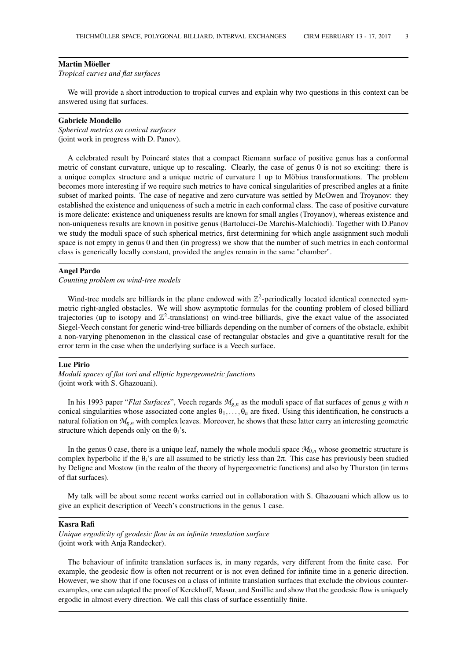#### Martin Möeller

*Tropical curves and flat surfaces*

We will provide a short introduction to tropical curves and explain why two questions in this context can be answered using flat surfaces.

### Gabriele Mondello

*Spherical metrics on conical surfaces* (joint work in progress with D. Panov).

A celebrated result by Poincaré states that a compact Riemann surface of positive genus has a conformal metric of constant curvature, unique up to rescaling. Clearly, the case of genus 0 is not so exciting: there is a unique complex structure and a unique metric of curvature 1 up to Möbius transformations. The problem becomes more interesting if we require such metrics to have conical singularities of prescribed angles at a finite subset of marked points. The case of negative and zero curvature was settled by McOwen and Troyanov: they established the existence and uniqueness of such a metric in each conformal class. The case of positive curvature is more delicate: existence and uniqueness results are known for small angles (Troyanov), whereas existence and non-uniqueness results are known in positive genus (Bartolucci-De Marchis-Malchiodi). Together with D.Panov we study the moduli space of such spherical metrics, first determining for which angle assignment such moduli space is not empty in genus 0 and then (in progress) we show that the number of such metrics in each conformal class is generically locally constant, provided the angles remain in the same "chamber".

#### Angel Pardo

*Counting problem on wind-tree models*

Wind-tree models are billiards in the plane endowed with  $\mathbb{Z}^2$ -periodically located identical connected symmetric right-angled obstacles. We will show asymptotic formulas for the counting problem of closed billiard trajectories (up to isotopy and  $\mathbb{Z}^2$ -translations) on wind-tree billiards, give the exact value of the associated Siegel-Veech constant for generic wind-tree billiards depending on the number of corners of the obstacle, exhibit a non-varying phenomenon in the classical case of rectangular obstacles and give a quantitative result for the error term in the case when the underlying surface is a Veech surface.

#### Luc Pirio

*Moduli spaces of flat tori and elliptic hypergeometric functions* (joint work with S. Ghazouani).

In his 1993 paper "*Flat Surfaces*", Veech regards *Mg*,*<sup>n</sup>* as the moduli space of flat surfaces of genus *g* with *n* conical singularities whose associated cone angles  $\theta_1, \ldots, \theta_n$  are fixed. Using this identification, he constructs a natural foliation on *Mg*,*<sup>n</sup>* with complex leaves. Moreover, he shows that these latter carry an interesting geometric structure which depends only on the θ*i*'s.

In the genus 0 case, there is a unique leaf, namely the whole moduli space  $M_{0,n}$  whose geometric structure is complex hyperbolic if the θ*i*'s are all assumed to be strictly less than 2π. This case has previously been studied by Deligne and Mostow (in the realm of the theory of hypergeometric functions) and also by Thurston (in terms of flat surfaces).

My talk will be about some recent works carried out in collaboration with S. Ghazouani which allow us to give an explicit description of Veech's constructions in the genus 1 case.

#### Kasra Rafi

*Unique ergodicity of geodesic flow in an infinite translation surface* (joint work with Anja Randecker).

The behaviour of infinite translation surfaces is, in many regards, very different from the finite case. For example, the geodesic flow is often not recurrent or is not even defined for infinite time in a generic direction. However, we show that if one focuses on a class of infinite translation surfaces that exclude the obvious counterexamples, one can adapted the proof of Kerckhoff, Masur, and Smillie and show that the geodesic flow is uniquely ergodic in almost every direction. We call this class of surface essentially finite.